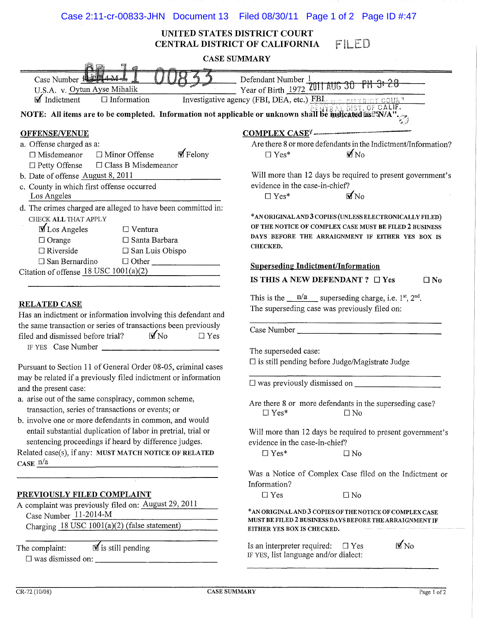## Case 2:11-cr-00833-JHN Document 13 Filed 08/30/11 Page 1 of 2 Page ID #:47

## UNITED STATES DISTRICT COURT FILED CENTRAL DISTRICT OF CALIFORNIA

| <b>CASE SUMMARY</b>                                                                                                                                                                                                          |                                                                                                                                                                                                                                                                                                                        |  |  |  |
|------------------------------------------------------------------------------------------------------------------------------------------------------------------------------------------------------------------------------|------------------------------------------------------------------------------------------------------------------------------------------------------------------------------------------------------------------------------------------------------------------------------------------------------------------------|--|--|--|
| Case Number 1 2014 M-                                                                                                                                                                                                        |                                                                                                                                                                                                                                                                                                                        |  |  |  |
| U.S.A. v. Oytun Ayse Mihalik                                                                                                                                                                                                 | $-$ Year of Birth 1972 2011 AUG 30 PM 3: 28                                                                                                                                                                                                                                                                            |  |  |  |
| $\blacksquare$ Indictment<br>$\Box$ Information                                                                                                                                                                              | Investigative agency (FBI, DEA, etc.) FBI us permanent count                                                                                                                                                                                                                                                           |  |  |  |
| NOTE: All items are to be completed. Information not applicable or unknown shall be indicated as $\mathbb{E}[\mathbf{W} \cap \mathbf{S}^T]$ .                                                                                |                                                                                                                                                                                                                                                                                                                        |  |  |  |
| <b>OFFENSE/VENUE</b>                                                                                                                                                                                                         | COMPLEX CASEY                                                                                                                                                                                                                                                                                                          |  |  |  |
| a. Offense charged as a:<br>$\blacksquare$ Felony<br>$\Box$ Misdemeanor<br>$\Box$ Minor Offense<br>□ Class B Misdemeanor<br>$\Box$ Petty Offense                                                                             | Are there 8 or more defendants in the Indictment/Information?<br>$\blacksquare$ No<br>$\Box$ Yes*                                                                                                                                                                                                                      |  |  |  |
| b. Date of offense August 8, 2011<br>c. County in which first offense occurred<br>Los Angeles                                                                                                                                | Will more than 12 days be required to present government's<br>evidence in the case-in-chief?<br>$\sqrt{\text{No}}$<br>$\Box$ Yes*<br>*AN ORIGINAL AND 3 COPIES (UNLESS ELECTRONICALLY FILED)<br>OF THE NOTICE OF COMPLEX CASE MUST BE FILED 2 BUSINESS<br>DAYS BEFORE THE ARRAIGNMENT IF EITHER YES BOX IS<br>CHECKED. |  |  |  |
| d. The crimes charged are alleged to have been committed in:<br>CHECK ALL THAT APPLY<br><b>M</b> Los Angeles<br>$\Box$ Ventura<br>$\Box$ Orange<br>$\Box$ Santa Barbara<br>$\Box$ Riverside<br>□ San Luis Obispo             |                                                                                                                                                                                                                                                                                                                        |  |  |  |
| $\square$ San Bernardino<br>$\Box$ Other<br>Citation of offense $18$ USC $1001(a)(2)$                                                                                                                                        | <b>Superseding Indictment/Information</b>                                                                                                                                                                                                                                                                              |  |  |  |
|                                                                                                                                                                                                                              | IS THIS A NEW DEFENDANT ? $\Box$ Yes<br>$\square$ No                                                                                                                                                                                                                                                                   |  |  |  |
| <b>RELATED CASE</b><br>Has an indictment or information involving this defendant and<br>the same transaction or series of transactions been previously<br>$M_{\text{No}}$<br>$\Box$ Yes<br>filed and dismissed before trial? | This is the $\frac{n}{a}$ superseding charge, i.e. 1 <sup>st</sup> , 2 <sup>nd</sup> .<br>The superseding case was previously filed on:                                                                                                                                                                                |  |  |  |
| IF YES Case Number<br>Pursuant to Section 11 of General Order 08-05, criminal cases                                                                                                                                          | The superseded case:<br>$\square$ is still pending before Judge/Magistrate Judge                                                                                                                                                                                                                                       |  |  |  |
| may be related if a previously filed indictment or information                                                                                                                                                               |                                                                                                                                                                                                                                                                                                                        |  |  |  |
| and the present case:<br>a. arise out of the same conspiracy, common scheme,<br>transaction, series of transactions or events; or<br>b. involve one or more defendants in common, and would                                  | Are there 8 or more defendants in the superseding case?<br>$\Box$ Yes*<br>$\Box$ No                                                                                                                                                                                                                                    |  |  |  |
| entail substantial duplication of labor in pretrial, trial or<br>sentencing proceedings if heard by difference judges.                                                                                                       | Will more than 12 days be required to present government's<br>evidence in the case-in-chief?                                                                                                                                                                                                                           |  |  |  |
| Related case(s), if any: MUST MATCH NOTICE OF RELATED<br>CASE $n/a$                                                                                                                                                          | $\Box$ Yes*<br>$\square$ No                                                                                                                                                                                                                                                                                            |  |  |  |
|                                                                                                                                                                                                                              | Was a Notice of Complex Case filed on the Indictment or<br>Information?                                                                                                                                                                                                                                                |  |  |  |
| <b>PREVIOUSLY FILED COMPLAINT</b>                                                                                                                                                                                            | $\Box$ Yes<br>$\square$ No                                                                                                                                                                                                                                                                                             |  |  |  |
| A complaint was previously filed on: August 29, 2011<br>Case Number 11-2014-M<br>Charging 18 USC 1001(a)(2) (false statement)                                                                                                | * AN ORIGINAL AND 3 COPIES OF THE NOTICE OF COMPLEX CASE<br>MUST BE FILED 2 BUSINESS DAYS BEFORE THE ARRAIGNMENT IF<br>EITHER YES BOX IS CHECKED.                                                                                                                                                                      |  |  |  |
| $\blacksquare$ is still pending<br>The complaint:                                                                                                                                                                            | $M_{\text{No}}$<br>Is an interpreter required:<br>$\Box$ Yes<br>IF YES, list language and/or dialect:                                                                                                                                                                                                                  |  |  |  |